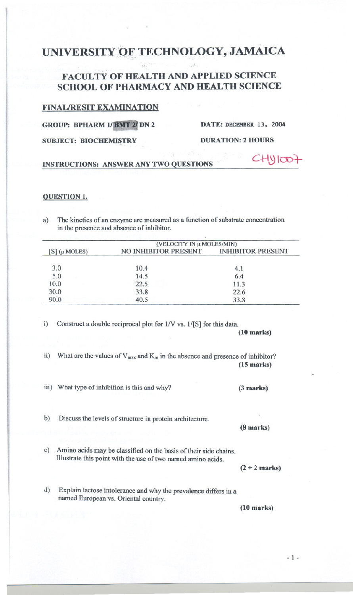# UNIVERSITY OF TECHNOLOGY, JAMAICA

*or,.*

# FACULTY OF HEALTH AND APPLIED SCIENCE SCHOOL OF PHARMACY AND HEALTH SCIENCE

#### FINAURESIT EXAMINATION

GROUP: BPHARM 1/ BMT 2/ DN 2

DATE: DECEMBER 13, 2004

 $CHYIOO7$ 

SUBJECT: BIOCHEMISTRY

DURATION: 2 HOURS

## INSTRUCfIONS: ANSWER ANY TWO QUESTIONS

#### OUESTION 1.

a) The kinetics of an enzyme are measured as a function of substrate concentration in the presence and absence of inhibitor.

| $[S]$ ( $\mu$ MOLES) | (VELOCITY IN µ MOLES/MIN) |                          |
|----------------------|---------------------------|--------------------------|
|                      | NO INHIBITOR PRESENT      | <b>INHIBITOR PRESENT</b> |
| 3.0                  | 10.4                      | 4.1                      |
| 5.0                  | 14.5                      | 6.4                      |
| 10.0                 | 22.5                      | 11.3                     |
| 30.0                 | 33.8                      | 22.6                     |
| 90.0                 | 40.5                      | 33.8                     |

i) Construct a double reciprocal plot for  $1/V$  vs.  $1/[S]$  for this data.

(10 marks)

- ii) What are the values of  $V_{max}$  and  $K_m$  in the absence and presence of inhibitor? (15 marks)
- iii) What type of inhibition is this and why? (3 marks)

b) Discuss the levels of structure in protein architecture.

c) Amino acids may be classified on the basis of their side chains. I1lustrate this point with the use of two named amino acids.

d) Explain lactose intolerance and why the prevalence differs in a named European vs. Oriental country.

(10 marks)

- 1-

 $(2 + 2$  marks)

(8 marks)